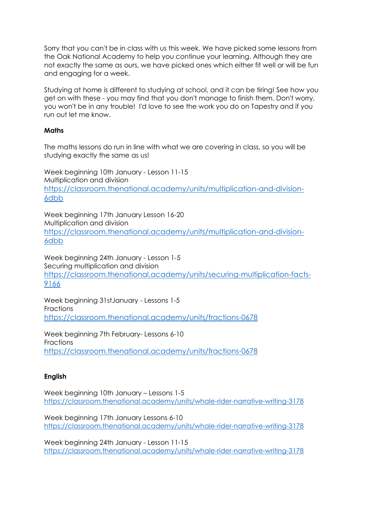Sorry that you can't be in class with us this week. We have picked some lessons from the Oak National Academy to help you continue your learning. Although they are not exactly the same as ours, we have picked ones which either fit well or will be fun and engaging for a week.

Studying at home is different to studying at school, and it can be tiring! See how you get on with these - you may find that you don't manage to finish them. Don't worry, you won't be in any trouble! I'd love to see the work you do on Tapestry and if you run out let me know.

## **Maths**

The maths lessons do run in line with what we are covering in class, so you will be studying exactly the same as us!

Week beginning 10th January - Lesson 11-15 Multiplication and division [https://classroom.thenational.academy/units/multiplication-and-division-](https://classroom.thenational.academy/units/multiplication-and-division-6dbb)[6dbb](https://classroom.thenational.academy/units/multiplication-and-division-6dbb)

Week beginning 17th January Lesson 16-20 Multiplication and division [https://classroom.thenational.academy/units/multiplication-and-division-](https://classroom.thenational.academy/units/multiplication-and-division-6dbb)[6dbb](https://classroom.thenational.academy/units/multiplication-and-division-6dbb)

Week beginning 24th January - Lesson 1-5 Securing multiplication and division [https://classroom.thenational.academy/units/securing-multiplication-facts-](https://classroom.thenational.academy/units/securing-multiplication-facts-9166)[9166](https://classroom.thenational.academy/units/securing-multiplication-facts-9166)

Week beginning 31stJanuary - Lessons 1-5 Fractions <https://classroom.thenational.academy/units/fractions-0678>

Week beginning 7th February- Lessons 6-10 Fractions <https://classroom.thenational.academy/units/fractions-0678>

## **English**

Week beginning 10th January – Lessons 1-5 <https://classroom.thenational.academy/units/whale-rider-narrative-writing-3178>

Week beginning 17th January Lessons 6-10 <https://classroom.thenational.academy/units/whale-rider-narrative-writing-3178>

Week beginning 24th January - Lesson 11-15 <https://classroom.thenational.academy/units/whale-rider-narrative-writing-3178>